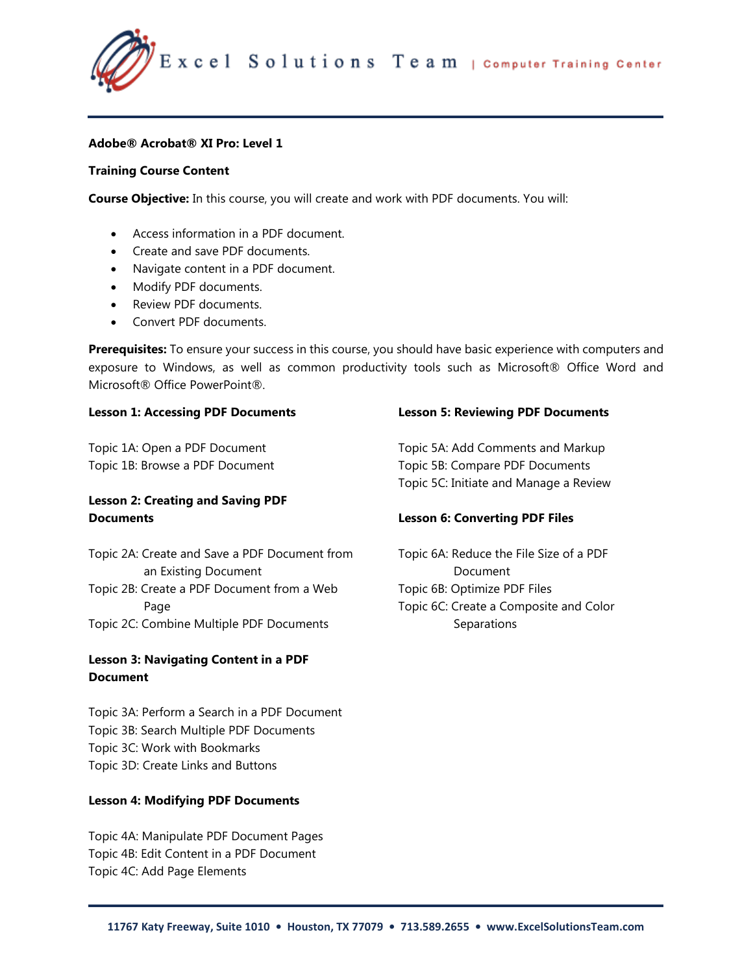

### **Adobe® Acrobat® XI Pro: Level 1**

### **Training Course Content**

**Course Objective:** In this course, you will create and work with PDF documents. You will:

- Access information in a PDF document.
- Create and save PDF documents.
- Navigate content in a PDF document.
- Modify PDF documents.
- Review PDF documents.
- Convert PDF documents.

**Prerequisites:** To ensure your success in this course, you should have basic experience with computers and exposure to Windows, as well as common productivity tools such as Microsoft® Office Word and Microsoft® Office PowerPoint®.

### **Lesson 1: Accessing PDF Documents**

Topic 1A: Open a PDF Document Topic 1B: Browse a PDF Document

# **Lesson 2: Creating and Saving PDF Documents**

Topic 2A: Create and Save a PDF Document from an Existing Document Topic 2B: Create a PDF Document from a Web Page Topic 2C: Combine Multiple PDF Documents

# **Lesson 3: Navigating Content in a PDF Document**

Topic 3A: Perform a Search in a PDF Document Topic 3B: Search Multiple PDF Documents Topic 3C: Work with Bookmarks Topic 3D: Create Links and Buttons

## **Lesson 4: Modifying PDF Documents**

Topic 4A: Manipulate PDF Document Pages Topic 4B: Edit Content in a PDF Document Topic 4C: Add Page Elements

### **Lesson 5: Reviewing PDF Documents**

Topic 5A: Add Comments and Markup Topic 5B: Compare PDF Documents Topic 5C: Initiate and Manage a Review

## **Lesson 6: Converting PDF Files**

Topic 6A: Reduce the File Size of a PDF Document Topic 6B: Optimize PDF Files Topic 6C: Create a Composite and Color **Separations**